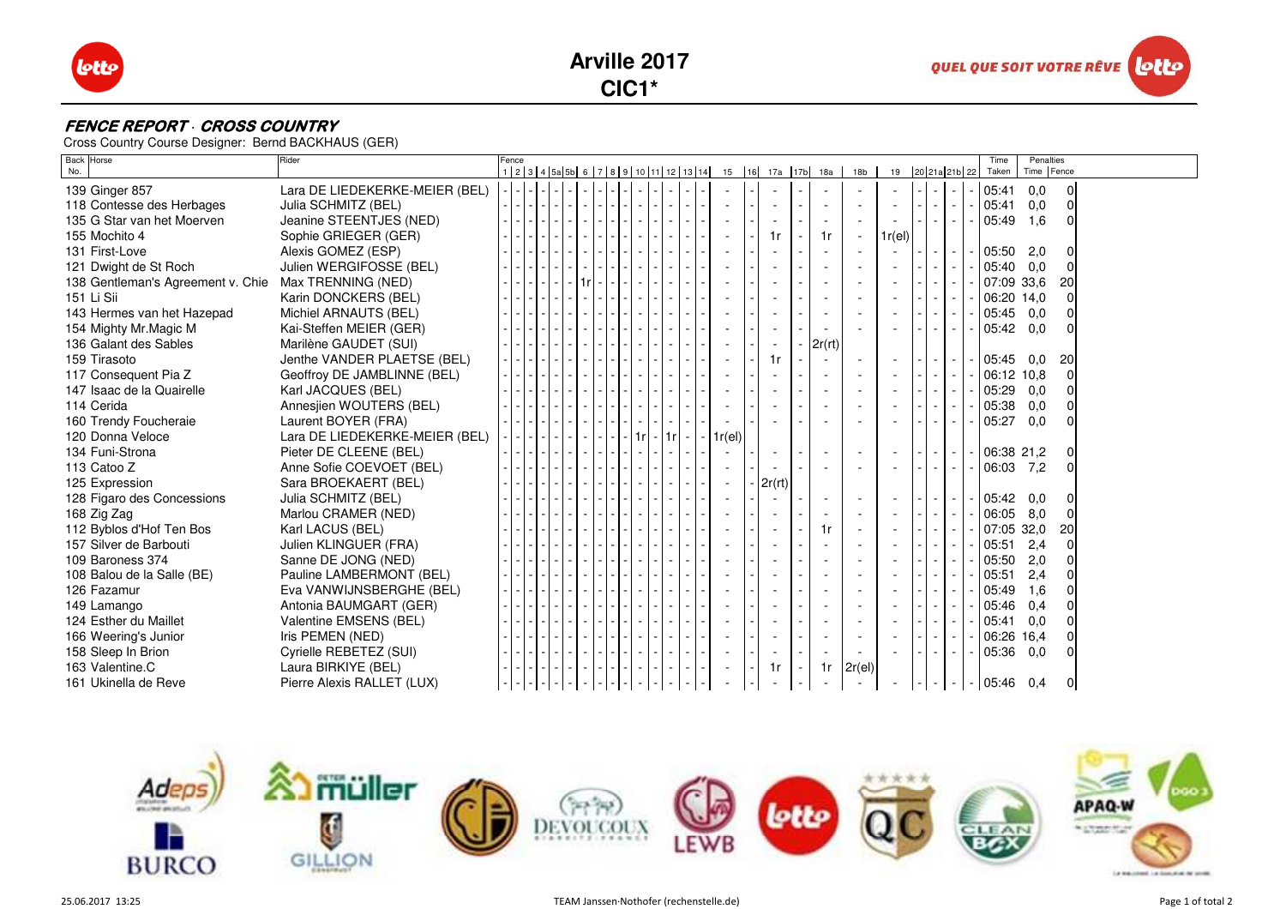





## **FENCE REPORT · CROSS COUNTRY**

Cross Country Course Designer: Bernd BACKHAUS (GER)

| Back Horse<br>No.                 | Rider                          | Fence |  |  |  |    |            |  |            |  |                | 1 2 3 4 5 5 6 7 8 9 10 11 12 13 14 15 16 17a 17b 18a | 18 <sub>b</sub> | 19     | 20 21a 21b 22            |          |        |        | Time<br>Taken | Penalties<br>Time Fence |                |  |
|-----------------------------------|--------------------------------|-------|--|--|--|----|------------|--|------------|--|----------------|------------------------------------------------------|-----------------|--------|--------------------------|----------|--------|--------|---------------|-------------------------|----------------|--|
|                                   |                                |       |  |  |  |    |            |  |            |  |                |                                                      |                 |        |                          |          |        |        |               |                         |                |  |
| 139 Ginger 857                    | Lara DE LIEDEKERKE-MEIER (BEL) |       |  |  |  |    |            |  |            |  |                |                                                      |                 |        |                          |          |        |        | 05:41         | 0,0                     | $\mathbf 0$    |  |
| 118 Contesse des Herbages         | Julia SCHMITZ (BEL)            |       |  |  |  |    |            |  |            |  |                |                                                      |                 |        | $\omega$                 | $\sim$   | $\sim$ | $\sim$ | 05:41         | 0,0                     | $\mathbf 0$    |  |
| 135 G Star van het Moerven        | Jeanine STEENTJES (NED)        |       |  |  |  |    |            |  |            |  |                |                                                      |                 |        |                          |          | $\sim$ |        | 05:49         | 1,6                     | $\Omega$       |  |
| 155 Mochito 4                     | Sophie GRIEGER (GER)           |       |  |  |  |    |            |  |            |  | 1r             | 1r                                                   | $\sim$          | 1r(el) |                          |          |        |        |               |                         |                |  |
| 131 First-Love                    | Alexis GOMEZ (ESP)             |       |  |  |  |    |            |  |            |  |                |                                                      |                 |        | $\sim$                   | $-1$ $-$ |        |        | - 05:50       | 2,0                     | 0              |  |
| 121 Dwight de St Roch             | Julien WERGIFOSSE (BEL)        |       |  |  |  |    |            |  |            |  |                |                                                      |                 |        |                          |          | $\sim$ |        | 05:40         | 0,0                     | $\overline{0}$ |  |
| 138 Gentleman's Agreement v. Chie | Max TRENNING (NED)             |       |  |  |  |    |            |  |            |  |                |                                                      |                 |        |                          |          |        |        | 07:09 33.6    |                         | 20             |  |
| 151 Li Sii                        | Karin DONCKERS (BEL)           |       |  |  |  |    |            |  |            |  |                |                                                      | $\sim$          |        | $\overline{\phantom{a}}$ |          | $\sim$ |        | 06:20 14,0    |                         | $\mathbf 0$    |  |
| 143 Hermes van het Hazepad        | Michiel ARNAUTS (BEL)          |       |  |  |  |    |            |  |            |  |                |                                                      |                 |        | $\blacksquare$           |          | $\sim$ |        | 05:45         | 0,0                     | 0              |  |
| 154 Mighty Mr. Magic M            | Kai-Steffen MEIER (GER)        |       |  |  |  |    |            |  |            |  |                |                                                      |                 |        |                          |          | $\sim$ |        | 05:42         | 0,0                     | 0              |  |
| 136 Galant des Sables             | Marilène GAUDET (SUI)          |       |  |  |  |    |            |  |            |  |                | 2r(rt)                                               |                 |        |                          |          |        |        |               |                         |                |  |
| 159 Tirasoto                      | Jenthe VANDER PLAETSE (BEL)    |       |  |  |  |    |            |  |            |  | 1r             |                                                      |                 |        |                          | $-1$ $-$ |        |        | - 105:45      | 0,0                     | 20             |  |
| 117 Consequent Pia Z              | Geoffroy DE JAMBLINNE (BEL)    |       |  |  |  |    |            |  |            |  |                |                                                      |                 |        | $\sim$                   |          | $\sim$ |        | 06:12 10,8    |                         | $\mathbf 0$    |  |
| 147 Isaac de la Quairelle         | Karl JACQUES (BEL)             |       |  |  |  |    |            |  |            |  |                |                                                      |                 |        | $\sim$                   |          | $\sim$ |        | 05:29         | 0,0                     | $\mathbf 0$    |  |
| 114 Cerida                        | Annesjien WOUTERS (BEL)        |       |  |  |  |    |            |  |            |  |                |                                                      |                 |        | $\sim$                   |          | $\sim$ |        | 05:38         | 0,0                     | $\Omega$       |  |
| 160 Trendy Foucheraie             | Laurent BOYER (FRA)            |       |  |  |  |    |            |  |            |  |                |                                                      |                 |        |                          |          |        |        | 05:27         | 0.0                     | $\Omega$       |  |
| 120 Donna Veloce                  | Lara DE LIEDEKERKE-MEIER (BEL) |       |  |  |  | 1r | $-1$ 1 $-$ |  | $-1r$ (el) |  |                |                                                      |                 |        |                          |          |        |        |               |                         |                |  |
| 134 Funi-Strona                   | Pieter DE CLEENE (BEL)         |       |  |  |  |    |            |  |            |  | $\blacksquare$ |                                                      |                 |        | $\sim$                   | $-1$ $-$ |        |        | $-106:3821.2$ |                         | 0              |  |
| 113 Catoo Z                       | Anne Sofie COEVOET (BEL)       |       |  |  |  |    |            |  |            |  |                |                                                      |                 |        |                          |          | $\sim$ |        | 06:03 7,2     |                         | $\mathbf 0$    |  |
| 125 Expression                    | Sara BROEKAERT (BEL)           |       |  |  |  |    |            |  |            |  | 2r(rt)         |                                                      |                 |        |                          |          |        |        |               |                         |                |  |
| 128 Figaro des Concessions        | Julia SCHMITZ (BEL)            |       |  |  |  |    |            |  |            |  |                |                                                      | $\sim$          |        |                          |          | $\sim$ |        | 05:42         | 0,0                     | 0              |  |
| 168 Zig Zag                       | Marlou CRAMER (NED)            |       |  |  |  |    |            |  |            |  |                |                                                      |                 |        | ÷,                       | $\sim$   | $\sim$ |        | 06:05         | 8,0                     | $\mathbf 0$    |  |
| 112 Byblos d'Hof Ten Bos          | Karl LACUS (BEL)               |       |  |  |  |    |            |  |            |  |                | 1r                                                   |                 |        | $\omega$                 |          | $\sim$ |        | 07:05 32,0    |                         | 20             |  |
| 157 Silver de Barbouti            | Julien KLINGUER (FRA)          |       |  |  |  |    |            |  |            |  |                |                                                      |                 |        |                          |          | $\sim$ |        | 05:51         | 2,4                     | $\Omega$       |  |
| 109 Baroness 374                  | Sanne DE JONG (NED)            |       |  |  |  |    |            |  |            |  |                |                                                      |                 |        | $\sim$                   | $\sim$   | $\sim$ |        | 05:50         | 2,0                     | $\Omega$       |  |
| 108 Balou de la Salle (BE)        | Pauline LAMBERMONT (BEL)       |       |  |  |  |    |            |  |            |  |                |                                                      |                 |        | $\omega$                 |          | $\sim$ |        | 05:51         | 2,4                     | 0              |  |
| 126 Fazamur                       | Eva VANWIJNSBERGHE (BEL)       |       |  |  |  |    |            |  |            |  |                |                                                      |                 |        | $\sim$                   |          | $\sim$ |        | 05:49         | 1,6                     | $\Omega$       |  |
| 149 Lamango                       | Antonia BAUMGART (GER)         |       |  |  |  |    |            |  |            |  |                |                                                      |                 |        | $\sim$                   |          | $\sim$ |        | 05:46         | 0,4                     | $\Omega$       |  |
| 124 Esther du Maillet             | Valentine EMSENS (BEL)         |       |  |  |  |    |            |  |            |  |                |                                                      |                 |        | $\sim$                   |          | $\sim$ |        | 05:41         | 0,0                     | $\Omega$       |  |
| 166 Weering's Junior              | Iris PEMEN (NED)               |       |  |  |  |    |            |  |            |  |                |                                                      |                 |        | $\sim$                   |          | $\sim$ |        | 06:26 16,4    |                         | $\Omega$       |  |
| 158 Sleep In Brion                | Cyrielle REBETEZ (SUI)         |       |  |  |  |    |            |  |            |  |                |                                                      |                 |        |                          |          | $\sim$ |        | 05:36         | 0,0                     | O              |  |
| 163 Valentine.C                   | Laura BIRKIYE (BEL)            |       |  |  |  |    |            |  |            |  | 1r             |                                                      | $1r$ 2r(el)     |        |                          |          |        |        |               |                         |                |  |
| 161 Ukinella de Reve              | Pierre Alexis RALLET (LUX)     |       |  |  |  |    |            |  |            |  |                |                                                      |                 |        |                          |          |        |        | - 105:46      | 0,4                     | $\mathbf 0$    |  |